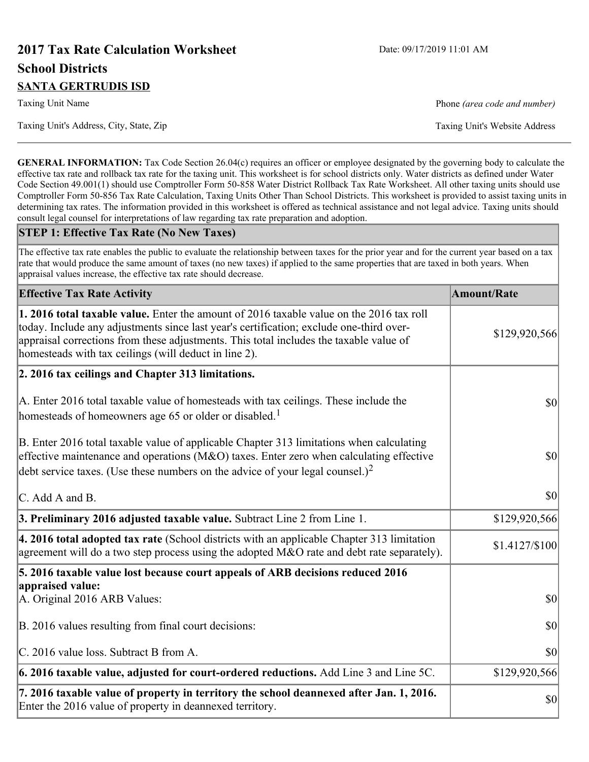# **2017 Tax Rate Calculation Worksheet** Date: 09/17/2019 11:01 AM **School Districts SANTA GERTRUDIS ISD**

Taxing Unit Name **Phone** *(area code and number)* Phone *(area code and number)* 

**GENERAL INFORMATION:** Tax Code Section 26.04(c) requires an officer or employee designated by the governing body to calculate the effective tax rate and rollback tax rate for the taxing unit. This worksheet is for school districts only. Water districts as defined under Water Code Section 49.001(1) should use Comptroller Form 50-858 Water District Rollback Tax Rate Worksheet. All other taxing units should use Comptroller Form 50-856 Tax Rate Calculation, Taxing Units Other Than School Districts. This worksheet is provided to assist taxing units in determining tax rates. The information provided in this worksheet is offered as technical assistance and not legal advice. Taxing units should consult legal counsel for interpretations of law regarding tax rate preparation and adoption.

### **STEP 1: Effective Tax Rate (No New Taxes)**

The effective tax rate enables the public to evaluate the relationship between taxes for the prior year and for the current year based on a tax rate that would produce the same amount of taxes (no new taxes) if applied to the same properties that are taxed in both years. When appraisal values increase, the effective tax rate should decrease.

| <b>Effective Tax Rate Activity</b>                                                                                                                                                                                                                                                                                                     | <b>Amount/Rate</b> |
|----------------------------------------------------------------------------------------------------------------------------------------------------------------------------------------------------------------------------------------------------------------------------------------------------------------------------------------|--------------------|
| 1. 2016 total taxable value. Enter the amount of 2016 taxable value on the 2016 tax roll<br>today. Include any adjustments since last year's certification; exclude one-third over-<br>appraisal corrections from these adjustments. This total includes the taxable value of<br>homesteads with tax ceilings (will deduct in line 2). | \$129,920,566      |
| 2. 2016 tax ceilings and Chapter 313 limitations.                                                                                                                                                                                                                                                                                      |                    |
| A. Enter 2016 total taxable value of homesteads with tax ceilings. These include the<br>homesteads of homeowners age 65 or older or disabled. <sup>1</sup>                                                                                                                                                                             | <b>\$0</b>         |
| B. Enter 2016 total taxable value of applicable Chapter 313 limitations when calculating<br>effective maintenance and operations ( $M&O$ ) taxes. Enter zero when calculating effective<br>debt service taxes. (Use these numbers on the advice of your legal counsel.) <sup>2</sup>                                                   | $ 10\rangle$       |
| $\mathcal{C}$ . Add A and B.                                                                                                                                                                                                                                                                                                           | $ 10\rangle$       |
| 3. Preliminary 2016 adjusted taxable value. Subtract Line 2 from Line 1.                                                                                                                                                                                                                                                               | \$129,920,566      |
| 4. 2016 total adopted tax rate (School districts with an applicable Chapter 313 limitation<br>agreement will do a two step process using the adopted M&O rate and debt rate separately).                                                                                                                                               | \$1.4127/S100      |
| 5. 2016 taxable value lost because court appeals of ARB decisions reduced 2016                                                                                                                                                                                                                                                         |                    |
| appraised value:<br>A. Original 2016 ARB Values:                                                                                                                                                                                                                                                                                       | $ 10\rangle$       |
| B. 2016 values resulting from final court decisions:                                                                                                                                                                                                                                                                                   | $ 10\rangle$       |
| C. 2016 value loss. Subtract B from A.                                                                                                                                                                                                                                                                                                 | \$0                |
| $\vert$ 6. 2016 taxable value, adjusted for court-ordered reductions. Add Line 3 and Line 5C.                                                                                                                                                                                                                                          | \$129,920,566      |
| 7. 2016 taxable value of property in territory the school deannexed after Jan. 1, 2016.<br>Enter the 2016 value of property in deannexed territory.                                                                                                                                                                                    | \$0                |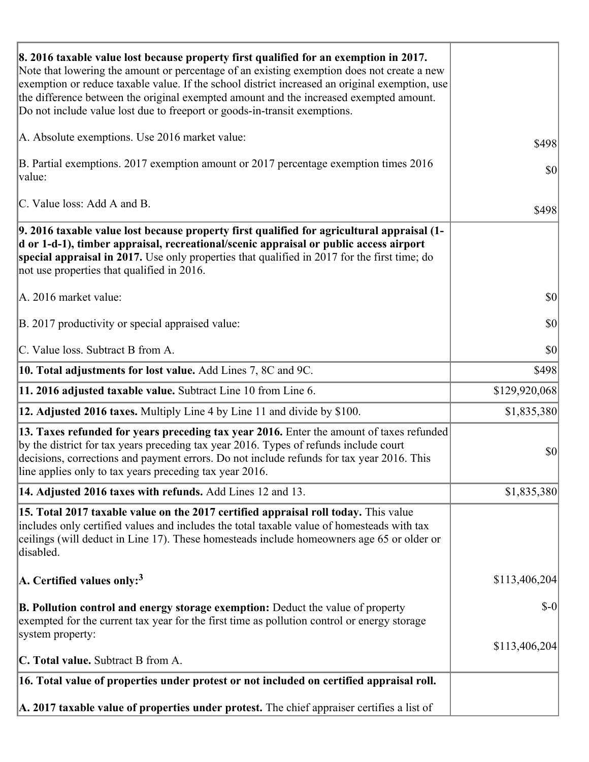| 8. 2016 taxable value lost because property first qualified for an exemption in 2017.<br>Note that lowering the amount or percentage of an existing exemption does not create a new<br>exemption or reduce taxable value. If the school district increased an original exemption, use<br>the difference between the original exempted amount and the increased exempted amount.<br>Do not include value lost due to freeport or goods-in-transit exemptions. |               |
|--------------------------------------------------------------------------------------------------------------------------------------------------------------------------------------------------------------------------------------------------------------------------------------------------------------------------------------------------------------------------------------------------------------------------------------------------------------|---------------|
| A. Absolute exemptions. Use 2016 market value:                                                                                                                                                                                                                                                                                                                                                                                                               | \$498         |
| B. Partial exemptions. 2017 exemption amount or 2017 percentage exemption times 2016<br>value:                                                                                                                                                                                                                                                                                                                                                               | \$0           |
| C. Value loss: Add A and B.                                                                                                                                                                                                                                                                                                                                                                                                                                  | \$498         |
| 9. 2016 taxable value lost because property first qualified for agricultural appraisal (1-<br>d or 1-d-1), timber appraisal, recreational/scenic appraisal or public access airport<br>special appraisal in 2017. Use only properties that qualified in 2017 for the first time; do<br>not use properties that qualified in 2016.                                                                                                                            |               |
| A. 2016 market value:                                                                                                                                                                                                                                                                                                                                                                                                                                        | $ 10\rangle$  |
| B. 2017 productivity or special appraised value:                                                                                                                                                                                                                                                                                                                                                                                                             | \$0           |
| C. Value loss. Subtract B from A.                                                                                                                                                                                                                                                                                                                                                                                                                            | $ 10\rangle$  |
| <b>10. Total adjustments for lost value.</b> Add Lines 7, 8C and 9C.                                                                                                                                                                                                                                                                                                                                                                                         | \$498         |
| 11. 2016 adjusted taxable value. Subtract Line 10 from Line 6.                                                                                                                                                                                                                                                                                                                                                                                               | \$129,920,068 |
| <b>12. Adjusted 2016 taxes.</b> Multiply Line 4 by Line 11 and divide by \$100.                                                                                                                                                                                                                                                                                                                                                                              | \$1,835,380   |
| [13. Taxes refunded for years preceding tax year 2016. Enter the amount of taxes refunded<br>by the district for tax years preceding tax year 2016. Types of refunds include court<br>decisions, corrections and payment errors. Do not include refunds for tax year 2016. This<br>line applies only to tax years preceding tax year 2016.                                                                                                                   | $ 10\rangle$  |
| 14. Adjusted 2016 taxes with refunds. Add Lines 12 and 13.                                                                                                                                                                                                                                                                                                                                                                                                   | \$1,835,380   |
| 15. Total 2017 taxable value on the 2017 certified appraisal roll today. This value<br>includes only certified values and includes the total taxable value of homesteads with tax<br>ceilings (will deduct in Line 17). These homesteads include homeowners age 65 or older or<br>disabled.                                                                                                                                                                  |               |
| A. Certified values only: <sup>3</sup>                                                                                                                                                                                                                                                                                                                                                                                                                       | \$113,406,204 |
| <b>B. Pollution control and energy storage exemption:</b> Deduct the value of property<br>exempted for the current tax year for the first time as pollution control or energy storage<br>system property:                                                                                                                                                                                                                                                    | $\delta$ -0   |
|                                                                                                                                                                                                                                                                                                                                                                                                                                                              | \$113,406,204 |
| <b>C. Total value.</b> Subtract B from A.                                                                                                                                                                                                                                                                                                                                                                                                                    |               |
| 16. Total value of properties under protest or not included on certified appraisal roll.                                                                                                                                                                                                                                                                                                                                                                     |               |
| A. 2017 taxable value of properties under protest. The chief appraiser certifies a list of                                                                                                                                                                                                                                                                                                                                                                   |               |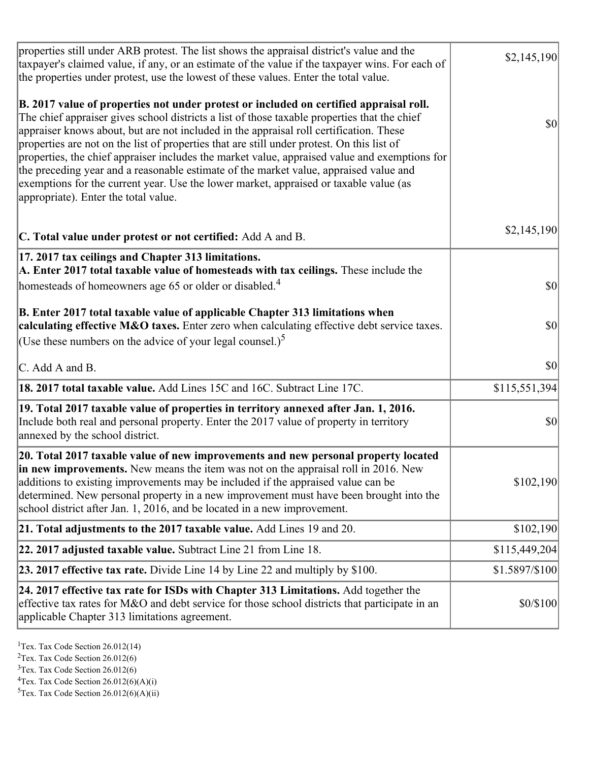| properties still under ARB protest. The list shows the appraisal district's value and the<br>taxpayer's claimed value, if any, or an estimate of the value if the taxpayer wins. For each of<br>the properties under protest, use the lowest of these values. Enter the total value.                                                                                                                                                                                                                                                                                                                                                                                                                      | \$2,145,190    |
|-----------------------------------------------------------------------------------------------------------------------------------------------------------------------------------------------------------------------------------------------------------------------------------------------------------------------------------------------------------------------------------------------------------------------------------------------------------------------------------------------------------------------------------------------------------------------------------------------------------------------------------------------------------------------------------------------------------|----------------|
| B. 2017 value of properties not under protest or included on certified appraisal roll.<br>The chief appraiser gives school districts a list of those taxable properties that the chief<br>appraiser knows about, but are not included in the appraisal roll certification. These<br>properties are not on the list of properties that are still under protest. On this list of<br>properties, the chief appraiser includes the market value, appraised value and exemptions for<br>the preceding year and a reasonable estimate of the market value, appraised value and<br>exemptions for the current year. Use the lower market, appraised or taxable value (as<br>appropriate). Enter the total value. | <b>\$0</b>     |
| C. Total value under protest or not certified: Add A and B.                                                                                                                                                                                                                                                                                                                                                                                                                                                                                                                                                                                                                                               | \$2,145,190    |
| 17. 2017 tax ceilings and Chapter 313 limitations.<br>A. Enter 2017 total taxable value of homesteads with tax ceilings. These include the<br>homesteads of homeowners age 65 or older or disabled. <sup>4</sup>                                                                                                                                                                                                                                                                                                                                                                                                                                                                                          | <b>\$0</b>     |
| B. Enter 2017 total taxable value of applicable Chapter 313 limitations when<br>calculating effective M&O taxes. Enter zero when calculating effective debt service taxes.<br>(Use these numbers on the advice of your legal counsel.) <sup>5</sup>                                                                                                                                                                                                                                                                                                                                                                                                                                                       | $ 10\rangle$   |
| C. Add A and B.                                                                                                                                                                                                                                                                                                                                                                                                                                                                                                                                                                                                                                                                                           | \$0            |
| 18. 2017 total taxable value. Add Lines 15C and 16C. Subtract Line 17C.                                                                                                                                                                                                                                                                                                                                                                                                                                                                                                                                                                                                                                   | \$115,551,394  |
| 19. Total 2017 taxable value of properties in territory annexed after Jan. 1, 2016.<br>Include both real and personal property. Enter the 2017 value of property in territory<br>annexed by the school district.                                                                                                                                                                                                                                                                                                                                                                                                                                                                                          | \$0            |
| 20. Total 2017 taxable value of new improvements and new personal property located<br>in new improvements. New means the item was not on the appraisal roll in 2016. New<br>additions to existing improvements may be included if the appraised value can be<br>determined. New personal property in a new improvement must have been brought into the<br>school district after Jan. 1, 2016, and be located in a new improvement.                                                                                                                                                                                                                                                                        | \$102,190      |
| 21. Total adjustments to the 2017 taxable value. Add Lines 19 and 20.                                                                                                                                                                                                                                                                                                                                                                                                                                                                                                                                                                                                                                     | \$102,190      |
| $ 22.2017$ adjusted taxable value. Subtract Line 21 from Line 18.                                                                                                                                                                                                                                                                                                                                                                                                                                                                                                                                                                                                                                         | \$115,449,204  |
| <b>23. 2017 effective tax rate.</b> Divide Line 14 by Line 22 and multiply by $$100$ .                                                                                                                                                                                                                                                                                                                                                                                                                                                                                                                                                                                                                    | \$1.5897/\$100 |
| 24. 2017 effective tax rate for ISDs with Chapter 313 Limitations. Add together the<br>effective tax rates for M&O and debt service for those school districts that participate in an<br>applicable Chapter 313 limitations agreement.                                                                                                                                                                                                                                                                                                                                                                                                                                                                    | \$0/\$100      |

<sup>1</sup>Tex. Tax Code Section  $26.012(14)$ 

<sup>2</sup>Tex. Tax Code Section 26.012(6)

 $3$ Tex. Tax Code Section 26.012(6)

 ${}^{4}$ Tex. Tax Code Section 26.012(6)(A)(i)

 ${}^{5}$ Tex. Tax Code Section 26.012(6)(A)(ii)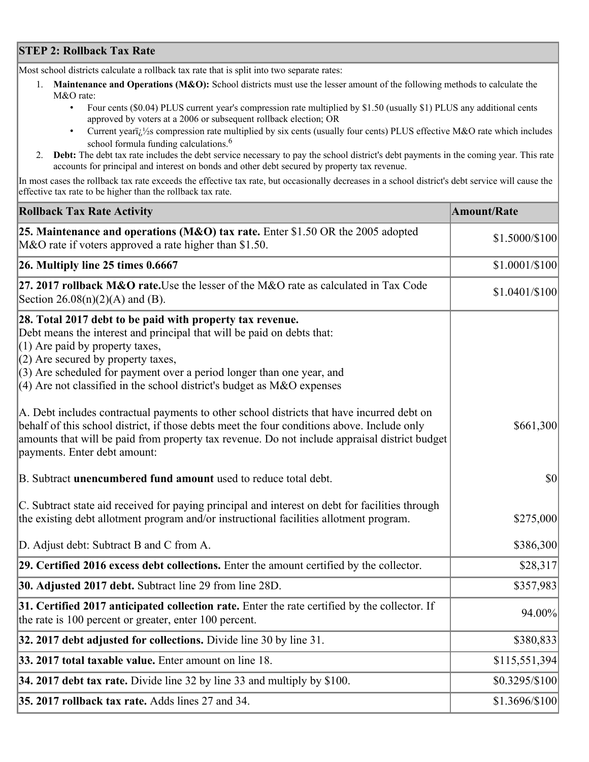## **STEP 2: Rollback Tax Rate**

Most school districts calculate a rollback tax rate that is split into two separate rates:

- 1. **Maintenance and Operations (M&O):** School districts must use the lesser amount of the following methods to calculate the M&O rate:
	- Four cents (\$0.04) PLUS current year's compression rate multiplied by \$1.50 (usually \$1) PLUS any additional cents approved by voters at a 2006 or subsequent rollback election; OR
	- Current year $i/\frac{1}{2}$ s compression rate multiplied by six cents (usually four cents) PLUS effective M&O rate which includes school formula funding calculations.<sup>6</sup>
- 2. **Debt:** The debt tax rate includes the debt service necessary to pay the school district's debt payments in the coming year. This rate accounts for principal and interest on bonds and other debt secured by property tax revenue.

In most cases the rollback tax rate exceeds the effective tax rate, but occasionally decreases in a school district's debt service will cause the effective tax rate to be higher than the rollback tax rate.

| <b>Rollback Tax Rate Activity</b>                                                                                                                                                                                                                                                                                                                                       | <b>Amount/Rate</b> |
|-------------------------------------------------------------------------------------------------------------------------------------------------------------------------------------------------------------------------------------------------------------------------------------------------------------------------------------------------------------------------|--------------------|
| 25. Maintenance and operations (M&O) tax rate. Enter \$1.50 OR the 2005 adopted<br>M&O rate if voters approved a rate higher than \$1.50.                                                                                                                                                                                                                               | \$1.5000/\$100     |
| $26.$ Multiply line 25 times $0.6667$                                                                                                                                                                                                                                                                                                                                   | \$1.0001/\$100     |
| 27. 2017 rollback M&O rate. Use the lesser of the M&O rate as calculated in Tax Code<br>Section $26.08(n)(2)(A)$ and (B).                                                                                                                                                                                                                                               | \$1.0401/\$100     |
| 28. Total 2017 debt to be paid with property tax revenue.<br>Debt means the interest and principal that will be paid on debts that:<br>$(1)$ Are paid by property taxes,<br>$(2)$ Are secured by property taxes,<br>$(3)$ Are scheduled for payment over a period longer than one year, and<br>$(4)$ Are not classified in the school district's budget as M&O expenses |                    |
| A. Debt includes contractual payments to other school districts that have incurred debt on<br>behalf of this school district, if those debts meet the four conditions above. Include only<br>amounts that will be paid from property tax revenue. Do not include appraisal district budget<br>payments. Enter debt amount:                                              | \$661,300          |
| B. Subtract unencumbered fund amount used to reduce total debt.                                                                                                                                                                                                                                                                                                         | $ 10\rangle$       |
| C. Subtract state aid received for paying principal and interest on debt for facilities through<br>the existing debt allotment program and/or instructional facilities allotment program.                                                                                                                                                                               | \$275,000          |
| D. Adjust debt: Subtract B and C from A.                                                                                                                                                                                                                                                                                                                                | \$386,300          |
| 29. Certified 2016 excess debt collections. Enter the amount certified by the collector.                                                                                                                                                                                                                                                                                | \$28,317           |
| 30. Adjusted 2017 debt. Subtract line 29 from line 28D.                                                                                                                                                                                                                                                                                                                 | \$357,983          |
| 31. Certified 2017 anticipated collection rate. Enter the rate certified by the collector. If<br>the rate is 100 percent or greater, enter 100 percent.                                                                                                                                                                                                                 | 94.00%             |
| 32. 2017 debt adjusted for collections. Divide line 30 by line 31.                                                                                                                                                                                                                                                                                                      | \$380,833          |
| 33. 2017 total taxable value. Enter amount on line 18.                                                                                                                                                                                                                                                                                                                  | \$115,551,394      |
| 34. 2017 debt tax rate. Divide line 32 by line 33 and multiply by \$100.                                                                                                                                                                                                                                                                                                | \$0.3295/\$100     |
| 35. 2017 rollback tax rate. Adds lines 27 and 34.                                                                                                                                                                                                                                                                                                                       | \$1.3696/\$100     |